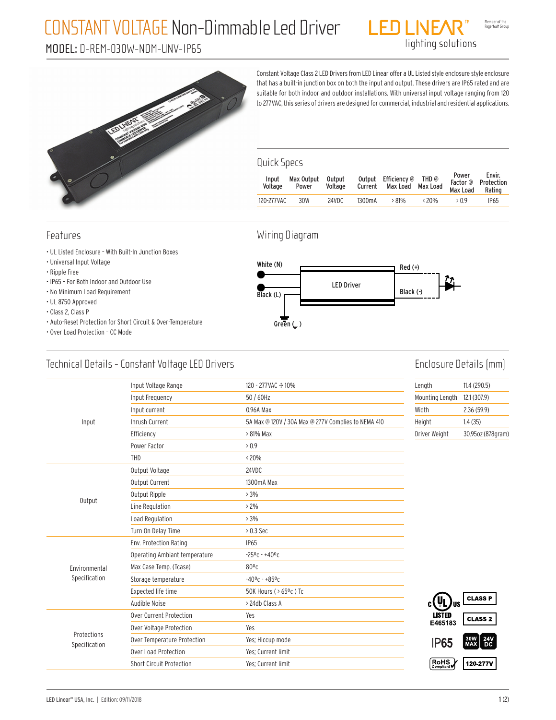# CONSTANT VOLTAGE Non-Dimmable Led Driver

## MODEL: D-REM-030W-NDM-UNV-IP65



Constant Voltage Class 2 LED Drivers from LED Linear offer a UL Listed style enclosure style enclosure that has a built-in junction box on both the input and output. These drivers are IP65 rated and are suitable for both indoor and outdoor installations. With universal input voltage ranging from 120 to 277VAC, this series of drivers are designed for commercial, industrial and residential applications.

ENT

lighting solutions

#### Quick Specs

| Input<br>Voltage | Max Output<br>Power | Output<br>Voltage |                     | Output Efficiency @ THD @<br>Current Max Load Max Load |                | Power<br>Max Load Rating | Envir.<br>Factor @ Protection |
|------------------|---------------------|-------------------|---------------------|--------------------------------------------------------|----------------|--------------------------|-------------------------------|
| 120-277VAC       | 30W                 | 24VDC             | 1300 <sub>m</sub> A | $>81\%$                                                | $\langle 20\%$ | >0.9                     | <b>IP65</b>                   |
|                  |                     |                   |                     |                                                        |                |                          |                               |

#### Features

- UL Listed Enclosure With Built-In Junction Boxes
- Universal Input Voltage
- Ripple Free
- IP65 For Both Indoor and Outdoor Use
- No Minimum Load Requirement
- UL 8750 Approved
- Class 2, Class P
- Auto-Reset Protection for Short Circuit & Over-Temperature
- Over Load Protection CC Mode

# White (N)

Wiring Diagram



### Technical Details - Constant Voltage LED Drivers

### Enclosure Details (mm)

|                              | Input Voltage Range                               | 120 - 277 VAC + 10%                                 | Length                                                                                                                                                                   | 11.4(290.5)       |
|------------------------------|---------------------------------------------------|-----------------------------------------------------|--------------------------------------------------------------------------------------------------------------------------------------------------------------------------|-------------------|
|                              | Input Frequency                                   | 50 / 60Hz                                           | Mounting Length                                                                                                                                                          | 12.1 (307.9)      |
|                              | Input current                                     | 0.96A Max                                           | Width                                                                                                                                                                    | 2.36(59.9)        |
| Input                        | Inrush Current                                    | 5A Max @ 120V / 30A Max @ 277V Complies to NEMA 410 | Height<br>Driver Weight<br>c(VL)<br>lus<br><b>LISTED</b><br>E465183<br><b>IP65</b><br>$\left[\begin{smallmatrix}\text{ROHS} \\ \text{Compliant}\end{smallmatrix}\right]$ | 1.4(35)           |
|                              | Efficiency                                        | > 81% Max                                           |                                                                                                                                                                          | 30.95oz (878qram) |
|                              | Power Factor                                      | > 0.9                                               |                                                                                                                                                                          |                   |
|                              | <b>THD</b>                                        | $< 20\%$                                            |                                                                                                                                                                          |                   |
| Output                       | Output Voltage                                    | 24VDC                                               | <b>CLASS P</b><br><b>CLASS 2</b><br>30W 24V<br>MAX DC                                                                                                                    |                   |
|                              | Output Current                                    | 1300mA Max                                          |                                                                                                                                                                          |                   |
|                              | Output Ripple                                     | > 3%                                                |                                                                                                                                                                          |                   |
|                              | Line Regulation                                   | $> 2\%$                                             | 120-277V                                                                                                                                                                 |                   |
|                              | Load Regulation                                   | $>3\%$                                              |                                                                                                                                                                          |                   |
|                              | Turn On Delay Time                                | $> 0.3$ Sec                                         |                                                                                                                                                                          |                   |
|                              | Env. Protection Rating                            | <b>IP65</b>                                         |                                                                                                                                                                          |                   |
|                              | Operating Ambiant temperature                     | $-25^0$ c - $+40^0$ c                               |                                                                                                                                                                          |                   |
| Environmental                | Max Case Temp. (Tcase)                            | $80^{\circ}$ c                                      |                                                                                                                                                                          |                   |
| Specification                | Storage temperature                               | $-40$ °C - +85°C                                    |                                                                                                                                                                          |                   |
|                              | Expected life time                                | 50K Hours ( > 65°c) Tc                              |                                                                                                                                                                          |                   |
|                              | Audible Noise                                     | > 24db Class A                                      |                                                                                                                                                                          |                   |
|                              | Over Current Protection                           | Yes                                                 |                                                                                                                                                                          |                   |
| Protections<br>Specification | Over Voltage Protection                           | Yes                                                 |                                                                                                                                                                          |                   |
|                              | Over Temperature Protection                       | Yes; Hiccup mode                                    |                                                                                                                                                                          |                   |
|                              | <b>Over Load Protection</b><br>Yes; Current limit |                                                     |                                                                                                                                                                          |                   |
|                              | Short Circuit Protection                          | Yes: Current limit                                  |                                                                                                                                                                          |                   |